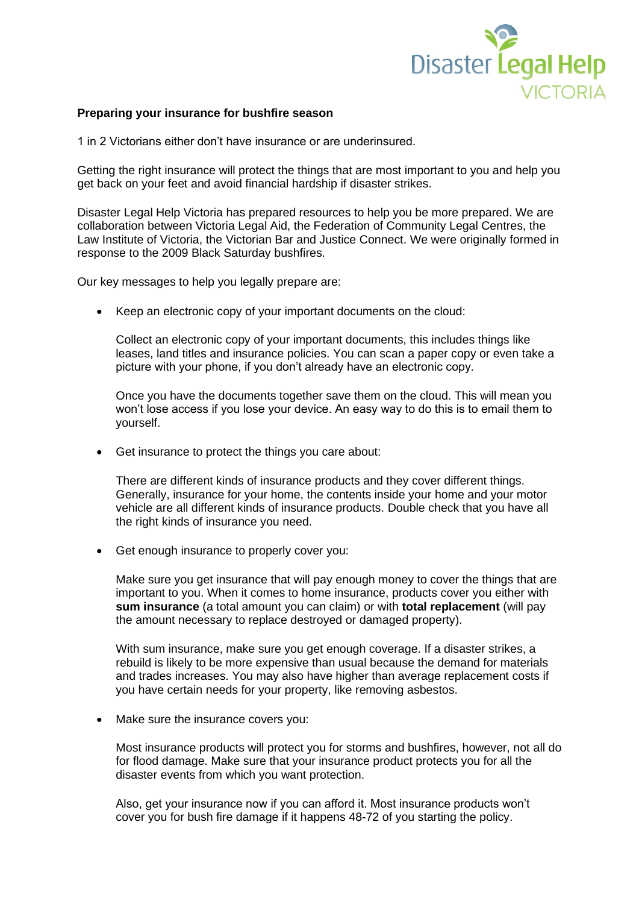

## **Preparing your insurance for bushfire season**

1 in 2 Victorians either don't have insurance or are underinsured.

Getting the right insurance will protect the things that are most important to you and help you get back on your feet and avoid financial hardship if disaster strikes.

Disaster Legal Help Victoria has prepared resources to help you be more prepared. We are collaboration between Victoria Legal Aid, the Federation of Community Legal Centres, the Law Institute of Victoria, the Victorian Bar and Justice Connect. We were originally formed in response to the 2009 Black Saturday bushfires.

Our key messages to help you legally prepare are:

• Keep an electronic copy of your important documents on the cloud:

Collect an electronic copy of your important documents, this includes things like leases, land titles and insurance policies. You can scan a paper copy or even take a picture with your phone, if you don't already have an electronic copy.

Once you have the documents together save them on the cloud. This will mean you won't lose access if you lose your device. An easy way to do this is to email them to yourself.

• Get insurance to protect the things you care about:

There are different kinds of insurance products and they cover different things. Generally, insurance for your home, the contents inside your home and your motor vehicle are all different kinds of insurance products. Double check that you have all the right kinds of insurance you need.

• Get enough insurance to properly cover you:

Make sure you get insurance that will pay enough money to cover the things that are important to you. When it comes to home insurance, products cover you either with **sum insurance** (a total amount you can claim) or with **total replacement** (will pay the amount necessary to replace destroyed or damaged property).

With sum insurance, make sure you get enough coverage. If a disaster strikes, a rebuild is likely to be more expensive than usual because the demand for materials and trades increases. You may also have higher than average replacement costs if you have certain needs for your property, like removing asbestos.

• Make sure the insurance covers you:

Most insurance products will protect you for storms and bushfires, however, not all do for flood damage. Make sure that your insurance product protects you for all the disaster events from which you want protection.

Also, get your insurance now if you can afford it. Most insurance products won't cover you for bush fire damage if it happens 48-72 of you starting the policy.